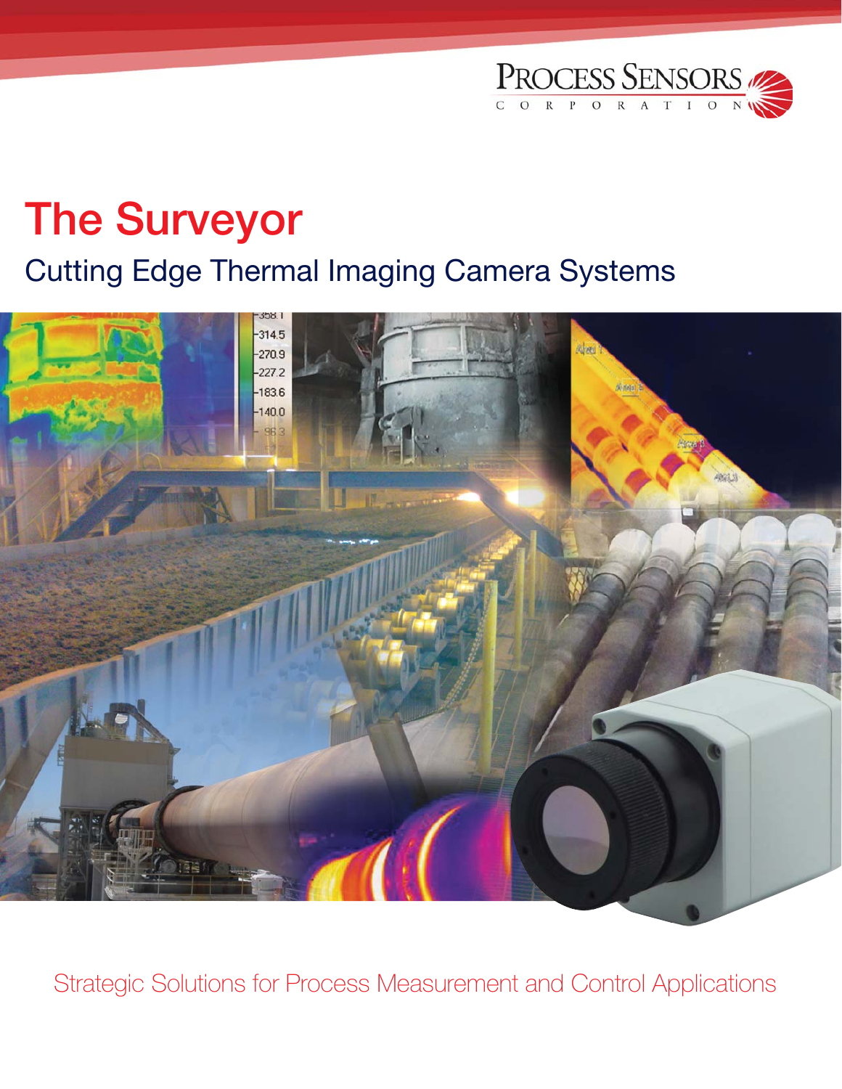

# **The Surveyor**

### Cutting Edge Thermal Imaging Camera Systems



Strategic Solutions for Process Measurement and Control Applications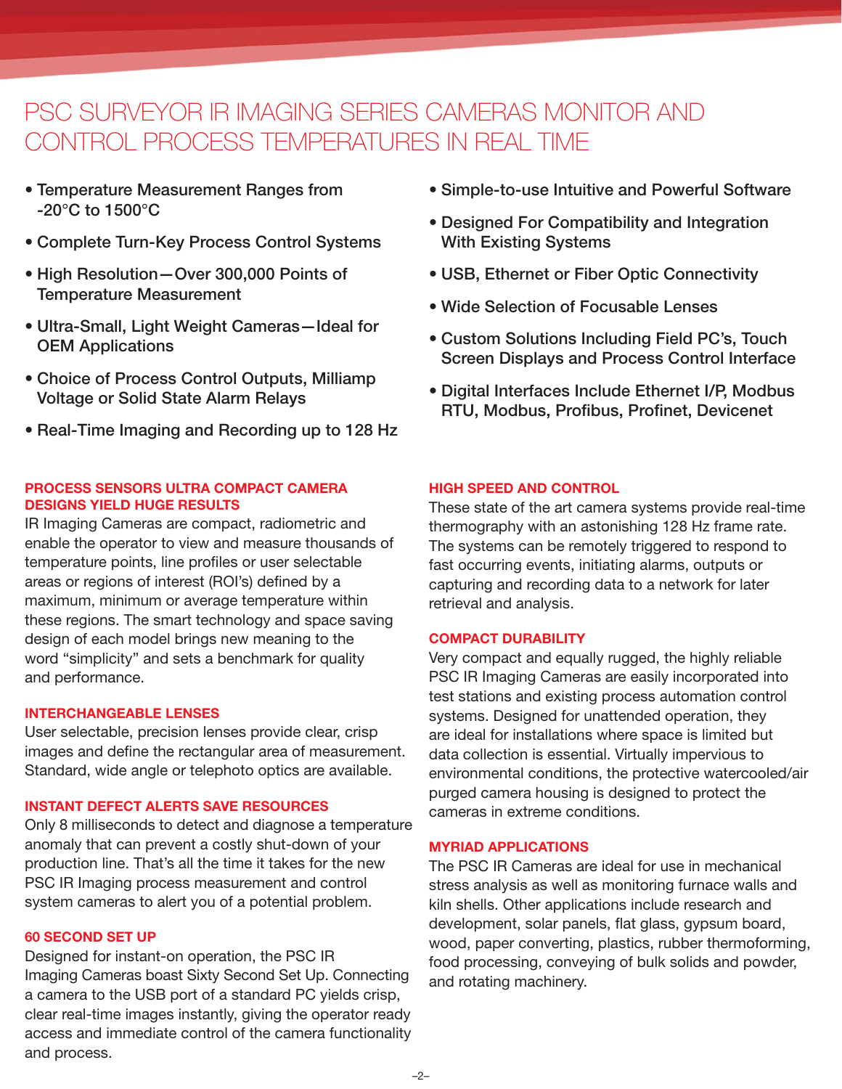### PSC SURVEYOR IR IMAGING SERIES CAMERAS MONITOR AND CONTROL PROCESS TEMPERATURES IN REAL TIME

- **Temperature Measurement Ranges from -20°C to 1500°C**
- **Complete Turn-Key Process Control Systems**
- **High Resolution —Over 300,000 Points of Temperature Measurement**
- **Ultra-Small, Light Weight Cameras—Ideal for OEM Applications**
- **Choice of Process Control Outputs, Milliamp Voltage or Solid State Alarm Relays**
- **Real-Time Imaging and Recording up to 128 Hz**

#### **PROCESS SENSORS ULTRA COMPACT CAMERA DESIGNS YIELD HUGE RESULTS**

IR Imaging Cameras are compact, radiometric and enable the operator to view and measure thousands of temperature points, line profiles or user selectable areas or regions of interest (ROI's) defined by a maximum, minimum or average temperature within these regions. The smart technology and space saving design of each model brings new meaning to the word "simplicity" and sets a benchmark for quality and performance.

#### **INTERCHANGEABLE LENSES**

User selectable, precision lenses provide clear, crisp images and define the rectangular area of measurement. Standard, wide angle or telephoto optics are available.

#### **INSTANT DEFECT ALERTS SAVE RESOURCES**

Only 8 milliseconds to detect and diagnose a temperature anomaly that can prevent a costly shut-down of your production line. That's all the time it takes for the new PSC IR Imaging process measurement and control system cameras to alert you of a potential problem.

#### **60 SECOND SET UP**

Designed for instant-on operation, the PSC IR Imaging Cameras boast Sixty Second Set Up. Connecting a camera to the USB port of a standard PC yields crisp, clear real-time images instantly, giving the operator ready access and immediate control of the camera functionality and process.

- **Simple-to-use Intuitive and Powerful Software**
- **Designed For Compatibility and Integration With Existing Systems**
- **USB, Ethernet or Fiber Optic Connectivity**
- **Wide Selection of Focusable Lenses**
- **Custom Solutions Including Field PC's, Touch Screen Displays and Process Control Interface**
- **Digital Interfaces Include Ethernet I/P, Modbus RTU, Modbus, Profibus, Profinet, Devicenet**

#### **HIGH SPEED AND CONTROL**

These state of the art camera systems provide real-time thermography with an astonishing 128 Hz frame rate. The systems can be remotely triggered to respond to fast occurring events, initiating alarms, outputs or capturing and recording data to a network for later retrieval and analysis.

#### **COMPACT DURABILITY**

Very compact and equally rugged, the highly reliable PSC IR Imaging Cameras are easily incorporated into test stations and existing process automation control systems. Designed for unattended operation, they are ideal for installations where space is limited but data collection is essential. Virtually impervious to environmental conditions, the protective watercooled/air purged camera housing is designed to protect the cameras in extreme conditions.

#### **MYRIAD APPLICATIONS**

The PSC IR Cameras are ideal for use in mechanical stress analysis as well as monitoring furnace walls and kiln shells. Other applications include research and development, solar panels, flat glass, gypsum board, wood, paper converting, plastics, rubber thermoforming, food processing, conveying of bulk solids and powder, and rotating machinery.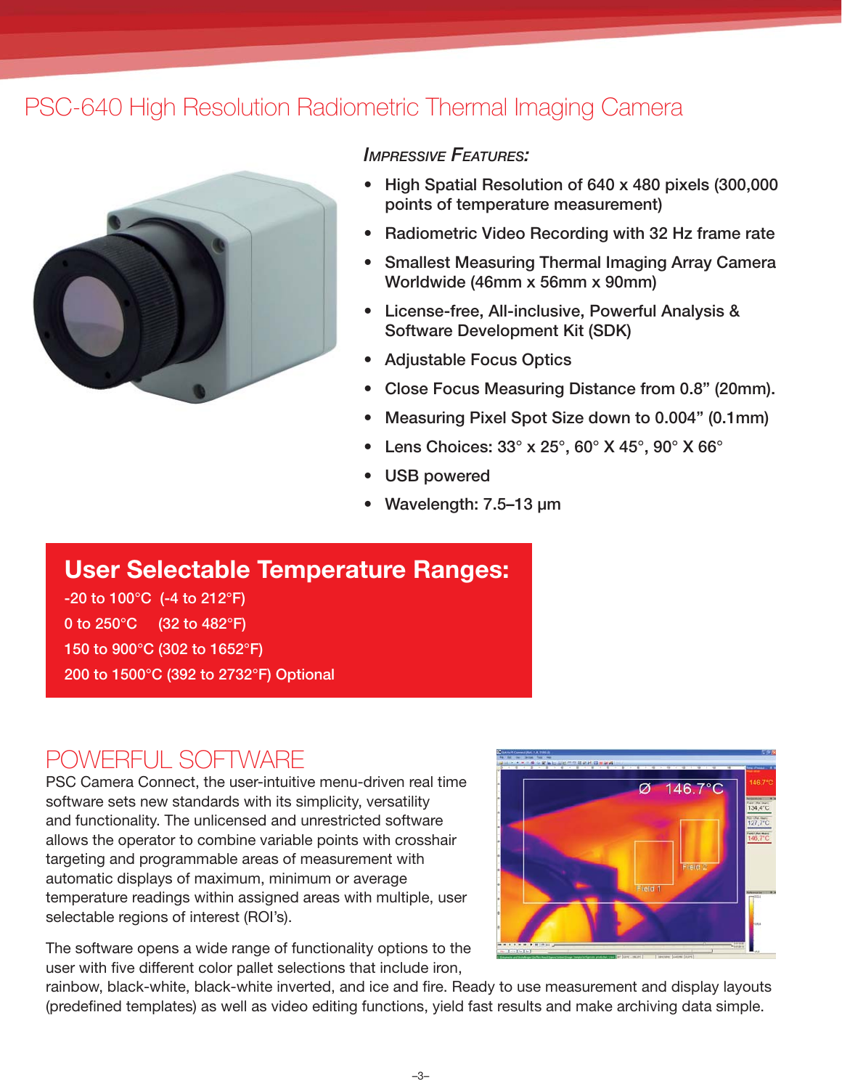### PSC-640 High Resolution Radiometric Thermal Imaging Camera



#### *IMPRESSIVE FEATURES:*

- **High Spatial Resolution of 640 x 480 pixels (300,000 points of temperature measurement)**
- **Radiometric Video Recording with 32 Hz frame rate**
- **Smallest Measuring Thermal Imaging Array Camera Worldwide (46mm x 56mm x 90mm)**
- **License-free, All-inclusive, Powerful Analysis & Software Development Kit (SDK)**
- **Adjustable Focus Optics**
- **Close Focus Measuring Distance from 0.8" (20mm).**
- **Measuring Pixel Spot Size down to 0.004" (0.1mm)**
- **Lens Choices: 33° x 25°, 60° X 45°, 90° X 66°**
- **USB powered**
- **Wavelength: 7.5 –13 µm**

### **User Selectable Temperature Ranges:**

**-20 to 100°C (-4 to 212°F) 0 to 250°C (32 to 482°F) 150 to 900°C (302 to 1652°F) 200 to 1500°C (392 to 2732°F) Optional** 

### POWERFUL SOFTWARE

PSC Camera Connect, the user-intuitive menu-driven real time software sets new standards with its simplicity, versatility and functionality. The unlicensed and unrestricted software allows the operator to combine variable points with crosshair targeting and programmable areas of measurement with automatic displays of maximum, minimum or average temperature readings within assigned areas with multiple, user selectable regions of interest (ROI's).



The software opens a wide range of functionality options to the user with five different color pallet selections that include iron,

rainbow, black-white, black-white inverted, and ice and fire. Ready to use measurement and display layouts (predefined templates) as well as video editing functions, yield fast results and make archiving data simple.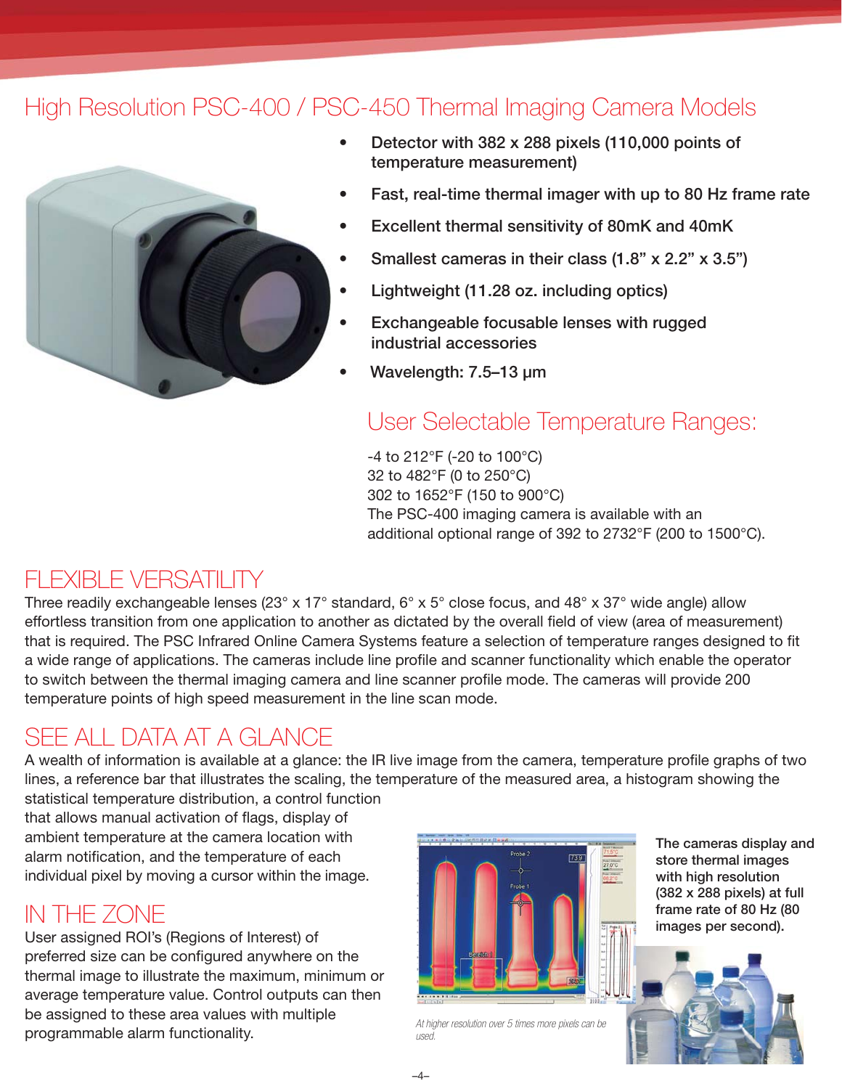### High Resolution PSC-400 / PSC-450 Thermal Imaging Camera Models



**• Detector with 382 x 288 pixels (110,000 points of temperature measurement)**

- **Fast, real-time thermal imager with up to 80 Hz frame rate**
- **Excellent thermal sensitivity of 80mK and 40mK**
- **Smallest cameras in their class (1.8" x 2.2" x 3.5")**
- **Lightweight (11.28 oz. including optics)**
- **Exchangeable focusable lenses with rugged industrial accessories**
- **Wavelength: 7.5 –13 µm**

### User Selectable Temperature Ranges:

-4 to 212°F (-20 to 100°C) 32 to 482°F (0 to 250°C) 302 to 1652°F (150 to 900°C) The PSC-400 imaging camera is available with an additional optional range of 392 to 2732°F (200 to 1500°C).

### FI FXIBI F VERSATILITY

Three readily exchangeable lenses (23° x 17° standard, 6° x 5° close focus, and 48° x 37° wide angle) allow effortless transition from one application to another as dictated by the overall field of view (area of measurement) that is required. The PSC Infrared Online Camera Systems feature a selection of temperature ranges designed to fit a wide range of applications. The cameras include line profile and scanner functionality which enable the operator to switch between the thermal imaging camera and line scanner profile mode. The cameras will provide 200 temperature points of high speed measurement in the line scan mode.

### SEE ALL DATA AT A GLANCE

A wealth of information is available at a glance: the IR live image from the camera, temperature profile graphs of two lines, a reference bar that illustrates the scaling, the temperature of the measured area, a histogram showing the statistical temperature distribution, a control function

that allows manual activation of flags, display of ambient temperature at the camera location with alarm notification, and the temperature of each individual pixel by moving a cursor within the image.

### IN THE ZONE

User assigned ROI's (Regions of Interest) of preferred size can be configured anywhere on the thermal image to illustrate the maximum, minimum or average temperature value. Control outputs can then be assigned to these area values with multiple programmable alarm functionality.



*At higher resolution over 5 times more pixels can be used.*

**The cameras display and store thermal images with high resolution (382 x 288 pixels) at full frame rate of 80 Hz (80 images per second).**

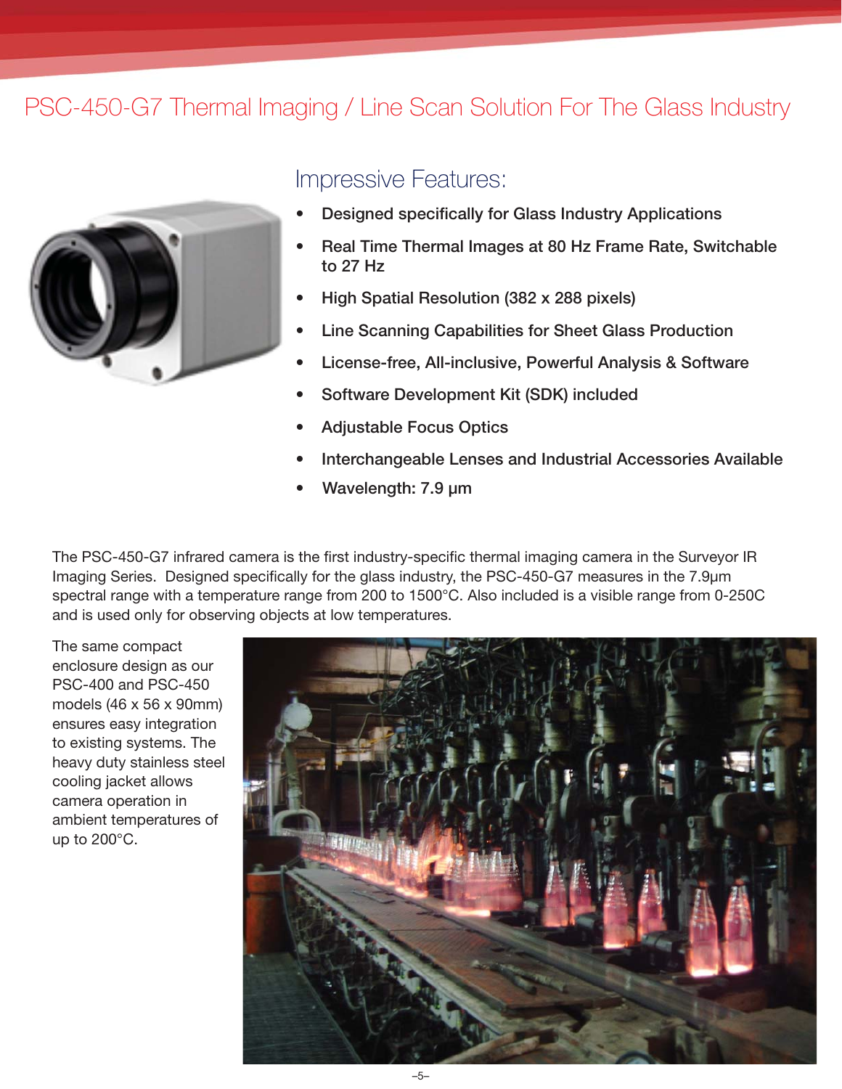### PSC-450-G7 Thermal Imaging / Line Scan Solution For The Glass Industry



### Impressive Features:

- **Designed specifically for Glass Industry Applications**
- **Real Time Thermal Images at 80 Hz Frame Rate, Switchable to 27 Hz**
- **High Spatial Resolution (382 x 288 pixels)**
- **Line Scanning Capabilities for Sheet Glass Production**
- **License-free, All-inclusive, Powerful Analysis & Software**
- **Software Development Kit (SDK) included**
- **Adjustable Focus Optics**
- **Interchangeable Lenses and Industrial Accessories Available**
- **Wavelength: 7.9 µm**

The PSC-450-G7 infrared camera is the first industry-specific thermal imaging camera in the Surveyor IR Imaging Series. Designed specifically for the glass industry, the PSC-450-G7 measures in the 7.9µm spectral range with a temperature range from 200 to 1500°C. Also included is a visible range from 0-250C and is used only for observing objects at low temperatures.

The same compact enclosure design as our PSC-400 and PSC-450 models (46 x 56 x 90mm) ensures easy integration to existing systems. The heavy duty stainless steel cooling jacket allows camera operation in ambient temperatures of up to 200°C.

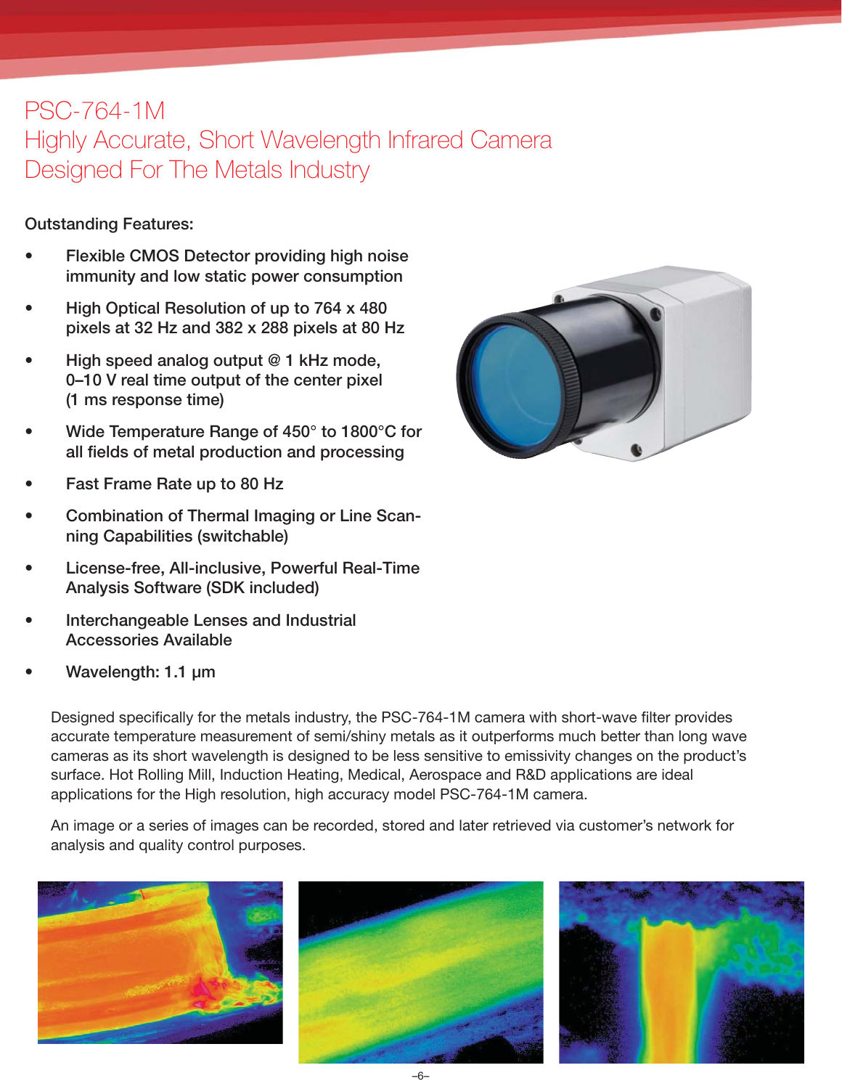### PSC-764-1M

Highly Accurate, Short Wavelength Infrared Camera Designed For The Metals Industry

#### **Outstanding Features:**

- **Flexible CMOS Detector providing high noise immunity and low static power consumption**
- **High Optical Resolution of up to 764 x 480 pixels at 32 Hz and 382 x 288 pixels at 80 Hz**
- **High speed analog output @ 1 kHz mode, 0–10 V real time output of the center pixel (1 ms response time)**
- **Wide Temperature Range of 450° to 1800°C for all fi elds of metal production and processing**
- **Fast Frame Rate up to 80 Hz**
- **Combination of Thermal Imaging or Line Scanning Capabilities (switchable)**
- **License-free, All-inclusive, Powerful Real-Time Analysis Software (SDK included)**
- **Interchangeable Lenses and Industrial Accessories Available**
- **Wavelength: 1.1 µm**

Designed specifically for the metals industry, the PSC-764-1M camera with short-wave filter provides accurate temperature measurement of semi/shiny metals as it outperforms much better than long wave cameras as its short wavelength is designed to be less sensitive to emissivity changes on the product's surface. Hot Rolling Mill, Induction Heating, Medical, Aerospace and R&D applications are ideal applications for the High resolution, high accuracy model PSC-764-1M camera.

An image or a series of images can be recorded, stored and later retrieved via customer's network for analysis and quality control purposes.



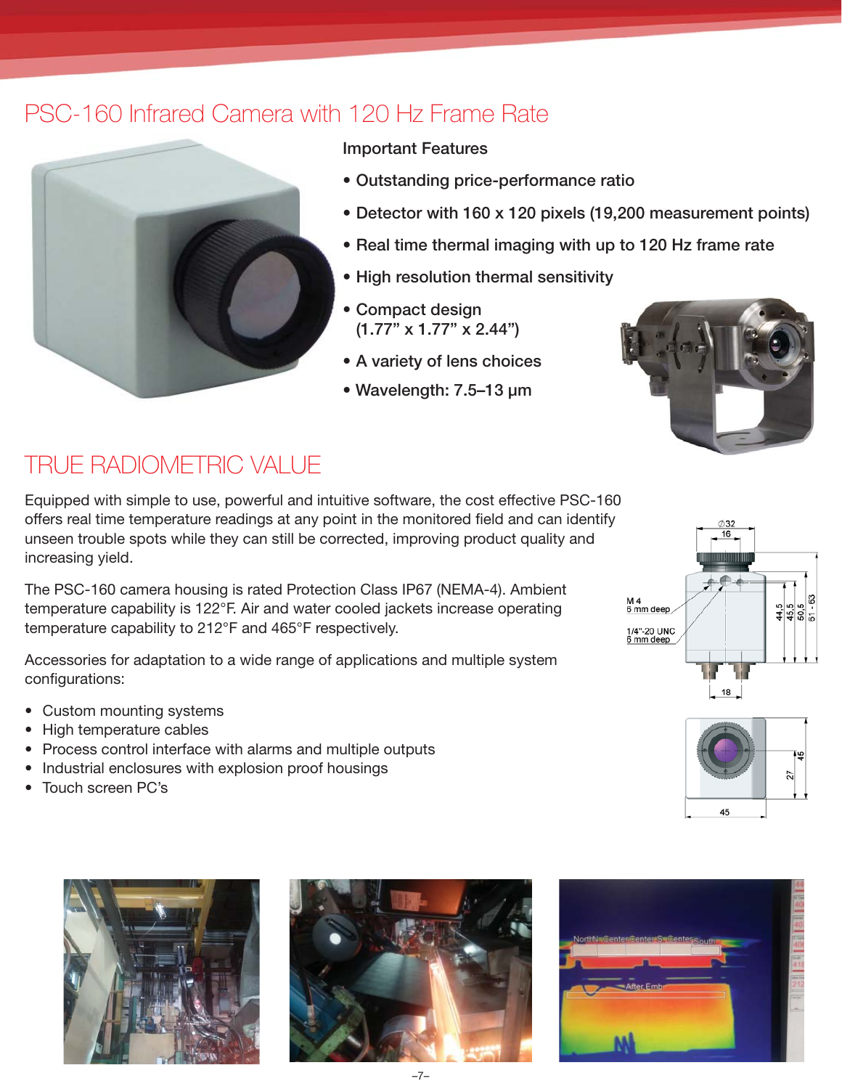### PSC-160 Infrared Camera with 120 Hz Frame Rate



#### **Important Features**

- **Outstanding price-performance ratio**
- **Detector with 160 x 120 pixels (19,200 measurement points)**
- **Real time thermal imaging with up to 120 Hz frame rate**
- **High resolution thermal sensitivity**
- **Compact design (1.77" x 1.77" x 2.44")**
- **A variety of lens choices**
- **Wavelength: 7.5 –13 µm**



### TRUE RADIOMETRIC VALUE

Equipped with simple to use, powerful and intuitive software, the cost effective PSC-160 offers real time temperature readings at any point in the monitored field and can identify unseen trouble spots while they can still be corrected, improving product quality and increasing yield.

The PSC-160 camera housing is rated Protection Class IP67 (NEMA-4). Ambient temperature capability is 122°F. Air and water cooled jackets increase operating temperature capability to 212°F and 465°F respectively.

Accessories for adaptation to a wide range of applications and multiple system configurations:

- Custom mounting systems
- High temperature cables
- Process control interface with alarms and multiple outputs
- Industrial enclosures with explosion proof housings
- Touch screen PC's









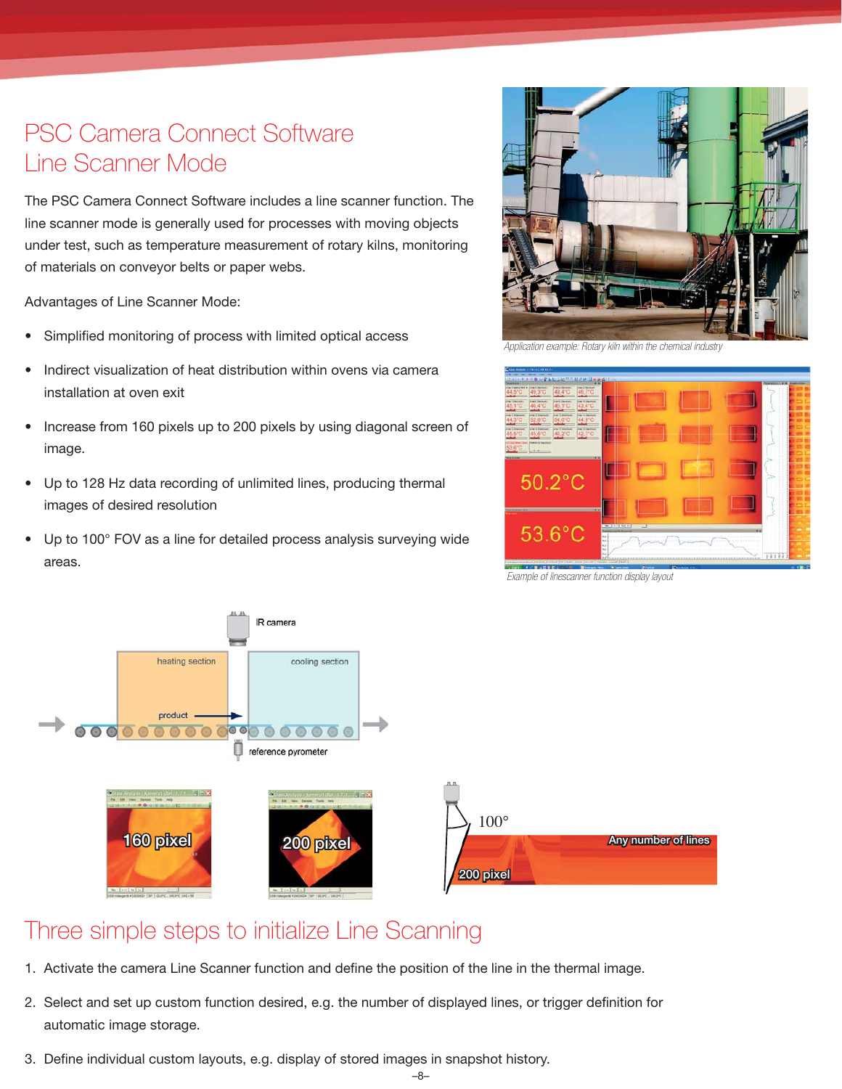### PSC Camera Connect Software Line Scanner Mode

The PSC Camera Connect Software includes a line scanner function. The line scanner mode is generally used for processes with moving objects under test, such as temperature measurement of rotary kilns, monitoring of materials on conveyor belts or paper webs.

Advantages of Line Scanner Mode:

- Simplified monitoring of process with limited optical access
- Indirect visualization of heat distribution within ovens via camera installation at oven exit
- Increase from 160 pixels up to 200 pixels by using diagonal screen of image.
- Up to 128 Hz data recording of unlimited lines, producing thermal images of desired resolution
- Up to 100° FOV as a line for detailed process analysis surveying wide areas.



*Application example: Rotary kiln within the chemical industry*



*Example of linescanner function display layout*



### Three simple steps to initialize Line Scanning

- 1. Activate the camera Line Scanner function and define the position of the line in the thermal image.
- 2. Select and set up custom function desired, e.g. the number of displayed lines, or trigger definition for automatic image storage.
- 3. Define individual custom layouts, e.g. display of stored images in snapshot history.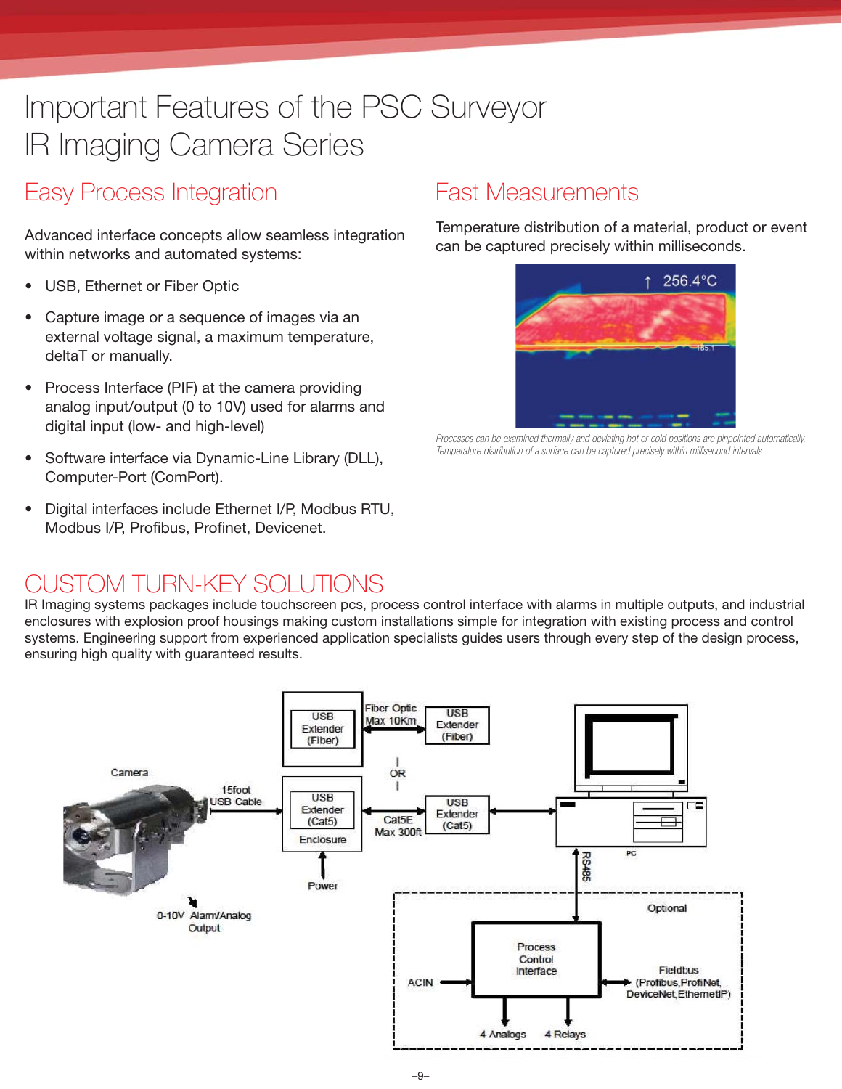## Important Features of the PSC Surveyor IR Imaging Camera Series

### Easy Process Integration

Advanced interface concepts allow seamless integration within networks and automated systems:

- USB, Ethernet or Fiber Optic
- Capture image or a sequence of images via an external voltage signal, a maximum temperature, deltaT or manually.
- Process Interface (PIF) at the camera providing analog input/output (0 to 10V) used for alarms and digital input (low- and high-level)
- Software interface via Dynamic-Line Library (DLL), Computer-Port (ComPort).
- Digital interfaces include Ethernet I/P, Modbus RTU, Modbus I/P, Profibus, Profinet, Devicenet.

### Fast Measurements

Temperature distribution of a material, product or event can be captured precisely within milliseconds.



*Processes can be examined thermally and deviating hot or cold positions are pinpointed automatically. Temperature distribution of a surface can be captured precisely within millisecond intervals*

### CUSTOM TURN-KEY SOLUTIONS

IR Imaging systems packages include touchscreen pcs, process control interface with alarms in multiple outputs, and industrial enclosures with explosion proof housings making custom installations simple for integration with existing process and control systems. Engineering support from experienced application specialists guides users through every step of the design process, ensuring high quality with guaranteed results.

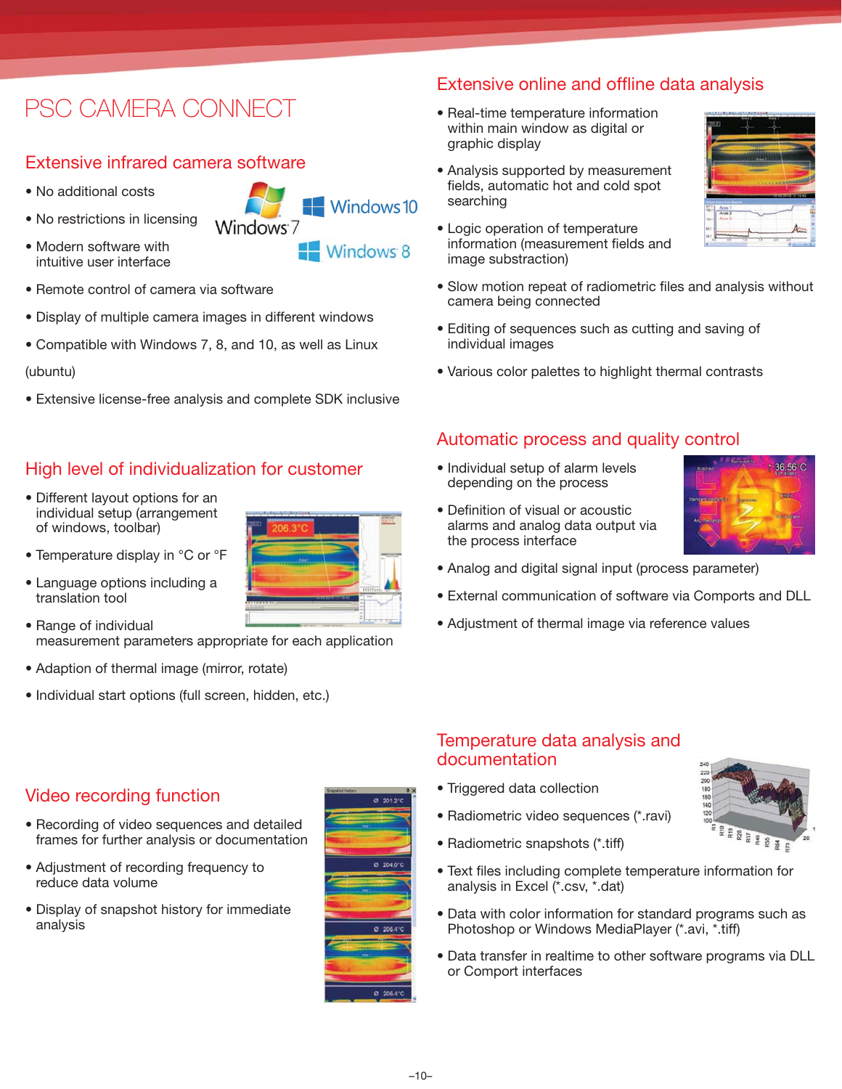### PSC CAMERA CONNECT

#### Extensive infrared camera software

- No additional costs
- No restrictions in licensing
- Modern software with intuitive user interface
- $\blacksquare$  Windows 10 Windows<sup>7</sup> Windows 8
- Remote control of camera via software
- Display of multiple camera images in different windows
- Compatible with Windows 7, 8, and 10, as well as Linux

#### (ubuntu)

• Extensive license-free analysis and complete SDK inclusive

#### High level of individualization for customer

- Different layout options for an individual setup (arrangement of windows, toolbar)
- Temperature display in °C or °F
- Language options including a translation tool
- Range of individual measurement parameters appropriate for each application
- Adaption of thermal image (mirror, rotate)
- Individual start options (full screen, hidden, etc.)

- Video recording function
- Recording of video sequences and detailed frames for further analysis or documentation
- Adjustment of recording frequency to reduce data volume
- Display of snapshot history for immediate analysis



#### Extensive online and offline data analysis

- Real-time temperature information within main window as digital or graphic display
- Analysis supported by measurement fields, automatic hot and cold spot searching
- Logic operation of temperature information (measurement fields and image substraction)
- Slow motion repeat of radiometric files and analysis without camera being connected
- Editing of sequences such as cutting and saving of individual images
- Various color palettes to highlight thermal contrasts

#### Automatic process and quality control

• Individual setup of alarm levels depending on the process

• Definition of visual or acoustic alarms and analog data output via

the process interface



- Analog and digital signal input (process parameter)
- External communication of software via Comports and DLL
- Adjustment of thermal image via reference values

#### Temperature data analysis and documentation

- Triggered data collection
- Radiometric video sequences (\*.ravi)
- Radiometric snapshots (\*.tiff)
- Text files including complete temperature information for analysis in Excel (\*.csv, \*.dat)
- Data with color information for standard programs such as Photoshop or Windows MediaPlayer (\*.avi, \*.tiff)
- Data transfer in realtime to other software programs via DLL or Comport interfaces



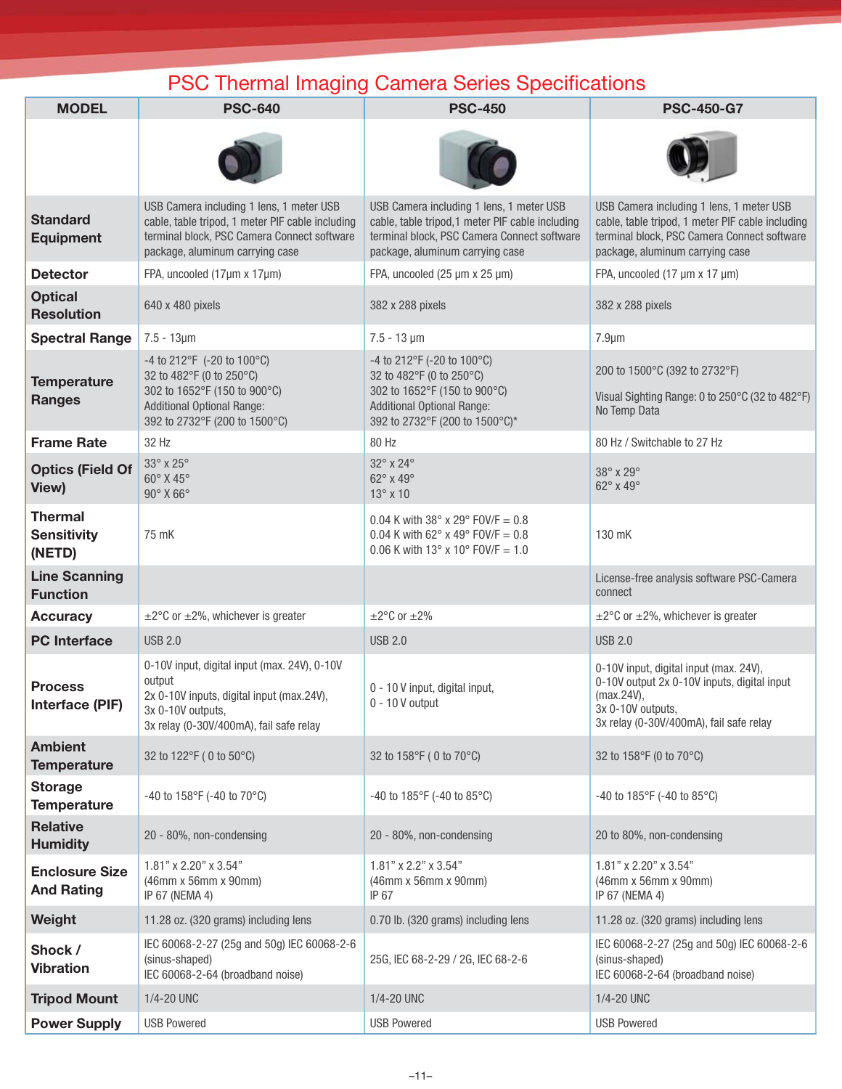### PSC Thermal Imaging Camera Series Specifications

| <b>MODEL</b>                                   | <b>PSC-640</b>                                                                                                                                                                 | <b>PSC-450</b>                                                                                                                                                                 | <b>PSC-450-G7</b>                                                                                                                                                              |  |  |  |  |  |
|------------------------------------------------|--------------------------------------------------------------------------------------------------------------------------------------------------------------------------------|--------------------------------------------------------------------------------------------------------------------------------------------------------------------------------|--------------------------------------------------------------------------------------------------------------------------------------------------------------------------------|--|--|--|--|--|
|                                                |                                                                                                                                                                                |                                                                                                                                                                                |                                                                                                                                                                                |  |  |  |  |  |
| <b>Standard</b><br><b>Equipment</b>            | USB Camera including 1 lens, 1 meter USB<br>cable, table tripod, 1 meter PIF cable including<br>terminal block, PSC Camera Connect software<br>package, aluminum carrying case | USB Camera including 1 lens, 1 meter USB<br>cable, table tripod, 1 meter PIF cable including<br>terminal block, PSC Camera Connect software<br>package, aluminum carrying case | USB Camera including 1 lens, 1 meter USB<br>cable, table tripod, 1 meter PIF cable including<br>terminal block, PSC Camera Connect software<br>package, aluminum carrying case |  |  |  |  |  |
| <b>Detector</b>                                | FPA, uncooled (17µm x 17µm)                                                                                                                                                    | FPA, uncooled (25 µm x 25 µm)                                                                                                                                                  | FPA, uncooled (17 µm x 17 µm)                                                                                                                                                  |  |  |  |  |  |
| <b>Optical</b><br><b>Resolution</b>            | 640 x 480 pixels                                                                                                                                                               | 382 x 288 pixels                                                                                                                                                               | 382 x 288 pixels                                                                                                                                                               |  |  |  |  |  |
| <b>Spectral Range</b>                          | $7.5 - 13 \mu m$                                                                                                                                                               | $7.5 - 13 \,\text{\mu m}$                                                                                                                                                      | $7.9 \mu m$                                                                                                                                                                    |  |  |  |  |  |
| <b>Temperature</b><br><b>Ranges</b>            | -4 to 212°F (-20 to 100°C)<br>32 to 482°F (0 to 250°C)<br>302 to 1652°F (150 to 900°C)<br><b>Additional Optional Range:</b><br>392 to 2732°F (200 to 1500°C)                   | -4 to 212°F (-20 to 100°C)<br>32 to 482°F (0 to 250°C)<br>302 to 1652°F (150 to 900°C)<br><b>Additional Optional Range:</b><br>392 to 2732°F (200 to 1500°C)*                  | 200 to 1500°C (392 to 2732°F)<br>Visual Sighting Range: 0 to 250°C (32 to 482°F)<br>No Temp Data                                                                               |  |  |  |  |  |
| <b>Frame Rate</b>                              | 32 Hz                                                                                                                                                                          | 80 Hz                                                                                                                                                                          | 80 Hz / Switchable to 27 Hz                                                                                                                                                    |  |  |  |  |  |
| <b>Optics (Field Of</b><br>View)               | 33° x 25°<br>60° X 45°<br>$90^\circ$ X 66 $^\circ$                                                                                                                             | 32° x 24°<br>62° x 49°<br>13° x 10                                                                                                                                             | 38° x 29°<br>62° x 49°                                                                                                                                                         |  |  |  |  |  |
| <b>Thermal</b><br><b>Sensitivity</b><br>(NETD) | 75 mK                                                                                                                                                                          | 0.04 K with 38° x 29° FOV/F = 0.8<br>0.04 K with 62 $\degree$ x 49 $\degree$ FOV/F = 0.8<br>$0.06$ K with 13° x 10° FOV/F = 1.0                                                | 130 mK                                                                                                                                                                         |  |  |  |  |  |
| <b>Line Scanning</b><br><b>Function</b>        |                                                                                                                                                                                |                                                                                                                                                                                | License-free analysis software PSC-Camera<br>connect                                                                                                                           |  |  |  |  |  |
| <b>Accuracy</b>                                | $\pm 2^{\circ}$ C or $\pm 2\%$ , whichever is greater                                                                                                                          | $\pm 2^{\circ}$ C or $\pm 2\%$                                                                                                                                                 | $\pm 2^{\circ}$ C or $\pm 2\%$ , whichever is greater                                                                                                                          |  |  |  |  |  |
| <b>PC</b> Interface                            | <b>USB 2.0</b>                                                                                                                                                                 | <b>USB 2.0</b>                                                                                                                                                                 | <b>USB 2.0</b>                                                                                                                                                                 |  |  |  |  |  |
| <b>Process</b><br>Interface (PIF)              | 0-10V input, digital input (max. 24V), 0-10V<br>output<br>2x 0-10V inputs, digital input (max.24V),<br>3x 0-10V outputs.<br>3x relay (0-30V/400mA), fail safe relay            | 0 - 10 V input, digital input,<br>$0 - 10V$ output                                                                                                                             | 0-10V input, digital input (max. 24V),<br>0-10V output 2x 0-10V inputs, digital input<br>(max.24V),<br>3x 0-10V outputs,<br>3x relay (0-30V/400mA), fail safe relay            |  |  |  |  |  |
| <b>Ambient</b><br><b>Temperature</b>           | 32 to 122°F (0 to 50°C)                                                                                                                                                        | 32 to 158°F (0 to 70°C)                                                                                                                                                        | 32 to 158°F (0 to 70°C)                                                                                                                                                        |  |  |  |  |  |
| <b>Storage</b><br><b>Temperature</b>           | -40 to 158°F (-40 to 70°C)                                                                                                                                                     | -40 to 185°F (-40 to 85°C)                                                                                                                                                     | -40 to 185 $\degree$ F (-40 to 85 $\degree$ C)                                                                                                                                 |  |  |  |  |  |
| <b>Relative</b><br><b>Humidity</b>             | 20 - 80%, non-condensing                                                                                                                                                       | 20 - 80%, non-condensing                                                                                                                                                       | 20 to 80%, non-condensing                                                                                                                                                      |  |  |  |  |  |
| <b>Enclosure Size</b><br><b>And Rating</b>     | 1.81" x 2.20" x 3.54"<br>(46mm x 56mm x 90mm)<br>IP 67 (NEMA 4)                                                                                                                | 1.81" x 2.2" x 3.54"<br>(46mm x 56mm x 90mm)<br>IP 67                                                                                                                          | 1.81" x 2.20" x 3.54"<br>(46mm x 56mm x 90mm)<br>IP 67 (NEMA 4)                                                                                                                |  |  |  |  |  |
| Weight                                         | 11.28 oz. (320 grams) including lens                                                                                                                                           | 0.70 lb. (320 grams) including lens                                                                                                                                            | 11.28 oz. (320 grams) including lens                                                                                                                                           |  |  |  |  |  |
| Shock /<br><b>Vibration</b>                    | IEC 60068-2-27 (25g and 50g) IEC 60068-2-6<br>(sinus-shaped)<br>IEC 60068-2-64 (broadband noise)                                                                               | 25G, IEC 68-2-29 / 2G, IEC 68-2-6                                                                                                                                              | IEC 60068-2-27 (25g and 50g) IEC 60068-2-6<br>(sinus-shaped)<br>IEC 60068-2-64 (broadband noise)                                                                               |  |  |  |  |  |
| <b>Tripod Mount</b>                            | 1/4-20 UNC                                                                                                                                                                     | 1/4-20 UNC                                                                                                                                                                     | 1/4-20 UNC                                                                                                                                                                     |  |  |  |  |  |
| <b>Power Supply</b>                            | <b>USB Powered</b>                                                                                                                                                             | <b>USB Powered</b>                                                                                                                                                             | <b>USB Powered</b>                                                                                                                                                             |  |  |  |  |  |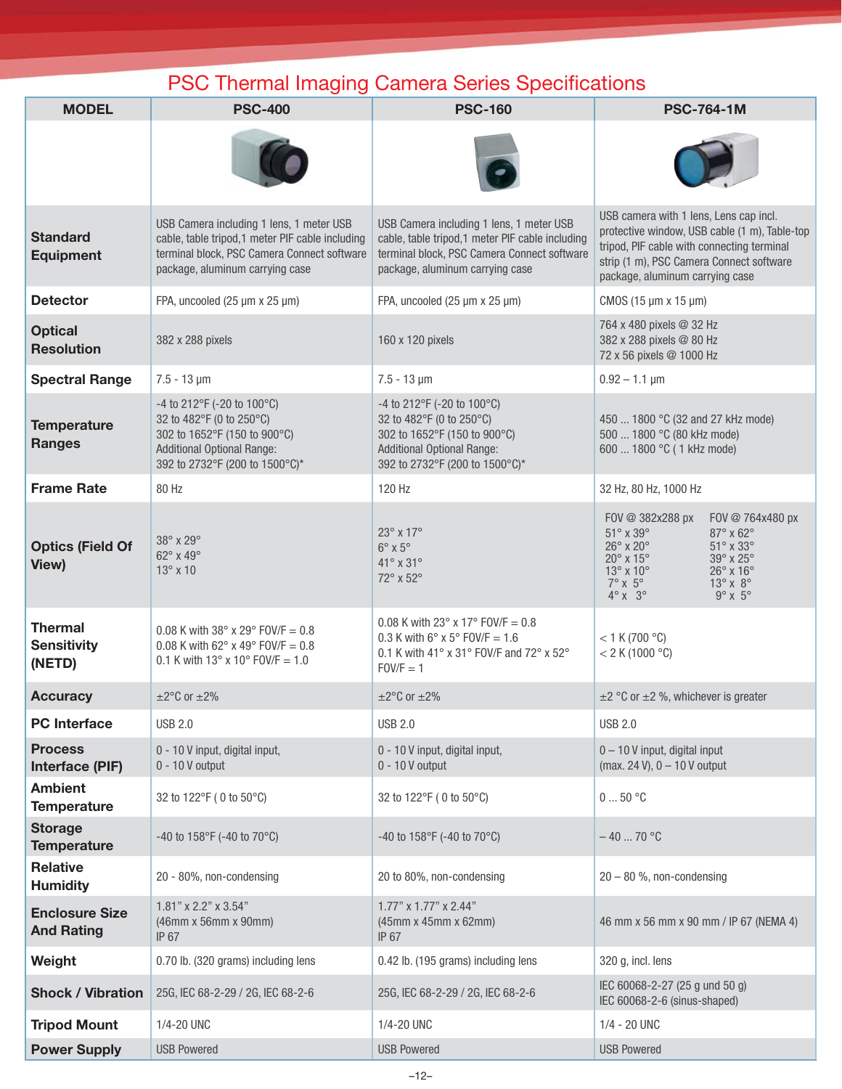### PSC Thermal Imaging Camera Series Specifications

| <b>MODEL</b>                                   | <b>PSC-400</b>                                                                                                                                                                 | <b>PSC-160</b>                                                                                                                                                                 | <b>PSC-764-1M</b>                                                                                                                                                                                                                                                                                                                                                                     |  |  |  |  |
|------------------------------------------------|--------------------------------------------------------------------------------------------------------------------------------------------------------------------------------|--------------------------------------------------------------------------------------------------------------------------------------------------------------------------------|---------------------------------------------------------------------------------------------------------------------------------------------------------------------------------------------------------------------------------------------------------------------------------------------------------------------------------------------------------------------------------------|--|--|--|--|
|                                                |                                                                                                                                                                                |                                                                                                                                                                                |                                                                                                                                                                                                                                                                                                                                                                                       |  |  |  |  |
| <b>Standard</b><br><b>Equipment</b>            | USB Camera including 1 lens, 1 meter USB<br>cable, table tripod, 1 meter PIF cable including<br>terminal block, PSC Camera Connect software<br>package, aluminum carrying case | USB Camera including 1 lens, 1 meter USB<br>cable, table tripod, 1 meter PIF cable including<br>terminal block, PSC Camera Connect software<br>package, aluminum carrying case | USB camera with 1 lens, Lens cap incl.<br>protective window, USB cable (1 m), Table-top<br>tripod, PIF cable with connecting terminal<br>strip (1 m), PSC Camera Connect software<br>package, aluminum carrying case                                                                                                                                                                  |  |  |  |  |
| <b>Detector</b>                                | FPA, uncooled (25 µm x 25 µm)                                                                                                                                                  | FPA, uncooled (25 µm x 25 µm)                                                                                                                                                  | CMOS (15 µm x 15 µm)                                                                                                                                                                                                                                                                                                                                                                  |  |  |  |  |
| <b>Optical</b><br><b>Resolution</b>            | 382 x 288 pixels                                                                                                                                                               | 160 x 120 pixels                                                                                                                                                               | 764 x 480 pixels @ 32 Hz<br>382 x 288 pixels @ 80 Hz<br>72 x 56 pixels @ 1000 Hz                                                                                                                                                                                                                                                                                                      |  |  |  |  |
| <b>Spectral Range</b>                          | $7.5 - 13 \,\text{\mu m}$                                                                                                                                                      | $7.5 - 13 \mu m$                                                                                                                                                               | $0.92 - 1.1$ µm                                                                                                                                                                                                                                                                                                                                                                       |  |  |  |  |
| <b>Temperature</b><br><b>Ranges</b>            | -4 to 212°F (-20 to 100°C)<br>32 to 482°F (0 to 250°C)<br>302 to 1652°F (150 to 900°C)<br><b>Additional Optional Range:</b><br>392 to 2732°F (200 to 1500°C)*                  | -4 to 212°F (-20 to 100°C)<br>32 to 482°F (0 to 250°C)<br>302 to 1652°F (150 to 900°C)<br><b>Additional Optional Range:</b><br>392 to 2732°F (200 to 1500°C)*                  | 450  1800 °C (32 and 27 kHz mode)<br>500  1800 °C (80 kHz mode)<br>600  1800 °C (1 kHz mode)                                                                                                                                                                                                                                                                                          |  |  |  |  |
| <b>Frame Rate</b>                              | 80 Hz                                                                                                                                                                          | 120 Hz                                                                                                                                                                         | 32 Hz, 80 Hz, 1000 Hz                                                                                                                                                                                                                                                                                                                                                                 |  |  |  |  |
| <b>Optics (Field Of</b><br>View)               | 38° x 29°<br>62° x 49°<br>$13^\circ \times 10$                                                                                                                                 | $23^\circ \times 17^\circ$<br>$6^\circ$ x $5^\circ$<br>$41^\circ$ x $31^\circ$<br>72° x 52°                                                                                    | FOV @ 382x288 px<br>FOV @ 764x480 px<br>$51^\circ \times 39^\circ$<br>$87^\circ \times 62^\circ$<br>$26^\circ \times 20^\circ$<br>$51^\circ$ x $33^\circ$<br>$20^{\circ}$ x 15°<br>$39^\circ$ x $25^\circ$<br>$13^{\circ}$ x $10^{\circ}$<br>$26^\circ$ x $16^\circ$<br>$7^\circ \times 5^\circ$<br>$13^\circ \times 8^\circ$<br>$9^\circ \times 5^\circ$<br>$4^\circ \times 3^\circ$ |  |  |  |  |
| <b>Thermal</b><br><b>Sensitivity</b><br>(NETD) | 0.08 K with 38° x 29° FOV/F = 0.8<br>0.08 K with 62 $\degree$ x 49 $\degree$ FOV/F = 0.8<br>0.1 K with $13^{\circ}$ x $10^{\circ}$ FOV/F = 1.0                                 | 0.08 K with 23° x 17° FOV/F = 0.8<br>0.3 K with $6^{\circ}$ x 5° FOV/F = 1.6<br>0.1 K with 41° x 31° FOV/F and 72° x 52°<br>$FOV/F = 1$                                        | $< 1$ K (700 °C)<br>< 2 K (1000 °C)                                                                                                                                                                                                                                                                                                                                                   |  |  |  |  |
| <b>Accuracy</b>                                | $\pm 2^{\circ}$ C or $\pm 2\%$                                                                                                                                                 | $\pm 2^{\circ}$ C or $\pm 2\%$                                                                                                                                                 | $\pm$ 2 °C or $\pm$ 2 %, whichever is greater                                                                                                                                                                                                                                                                                                                                         |  |  |  |  |
| <b>PC</b> Interface                            | <b>USB 2.0</b>                                                                                                                                                                 | <b>USB 2.0</b>                                                                                                                                                                 | <b>USB 2.0</b>                                                                                                                                                                                                                                                                                                                                                                        |  |  |  |  |
| <b>Process</b><br>Interface (PIF)              | 0 - 10 V input, digital input,<br>$0 - 10V$ output                                                                                                                             | 0 - 10 V input, digital input,<br>$0 - 10V$ output                                                                                                                             | 0 - 10 V input, digital input<br>(max. 24 V), $0 - 10$ V output                                                                                                                                                                                                                                                                                                                       |  |  |  |  |
| <b>Ambient</b><br><b>Temperature</b>           | 32 to 122°F (0 to 50°C)                                                                                                                                                        | 32 to 122°F (0 to 50°C)                                                                                                                                                        | $050$ °C                                                                                                                                                                                                                                                                                                                                                                              |  |  |  |  |
| <b>Storage</b><br><b>Temperature</b>           | -40 to 158°F (-40 to 70°C)                                                                                                                                                     | -40 to 158°F (-40 to 70°C)                                                                                                                                                     | $-4070 °C$                                                                                                                                                                                                                                                                                                                                                                            |  |  |  |  |
| <b>Relative</b><br><b>Humidity</b>             | 20 - 80%, non-condensing                                                                                                                                                       | 20 to 80%, non-condensing                                                                                                                                                      | $20 - 80$ %, non-condensing                                                                                                                                                                                                                                                                                                                                                           |  |  |  |  |
| <b>Enclosure Size</b><br><b>And Rating</b>     | 1.81" x 2.2" x 3.54"<br>(46mm x 56mm x 90mm)<br><b>IP 67</b>                                                                                                                   | 1.77" x 1.77" x 2.44"<br>(45mm x 45mm x 62mm)<br>IP 67                                                                                                                         | 46 mm x 56 mm x 90 mm / IP 67 (NEMA 4)                                                                                                                                                                                                                                                                                                                                                |  |  |  |  |
| Weight                                         | 0.70 lb. (320 grams) including lens                                                                                                                                            | 0.42 lb. (195 grams) including lens                                                                                                                                            | 320 g, incl. lens                                                                                                                                                                                                                                                                                                                                                                     |  |  |  |  |
| <b>Shock / Vibration</b>                       | 25G, IEC 68-2-29 / 2G, IEC 68-2-6                                                                                                                                              | 25G, IEC 68-2-29 / 2G, IEC 68-2-6                                                                                                                                              | IEC 60068-2-27 (25 g und 50 g)<br>IEC 60068-2-6 (sinus-shaped)                                                                                                                                                                                                                                                                                                                        |  |  |  |  |
| <b>Tripod Mount</b>                            | 1/4-20 UNC                                                                                                                                                                     | 1/4-20 UNC                                                                                                                                                                     | 1/4 - 20 UNC                                                                                                                                                                                                                                                                                                                                                                          |  |  |  |  |
| <b>Power Supply</b>                            | <b>USB Powered</b>                                                                                                                                                             | <b>USB Powered</b>                                                                                                                                                             | <b>USB Powered</b>                                                                                                                                                                                                                                                                                                                                                                    |  |  |  |  |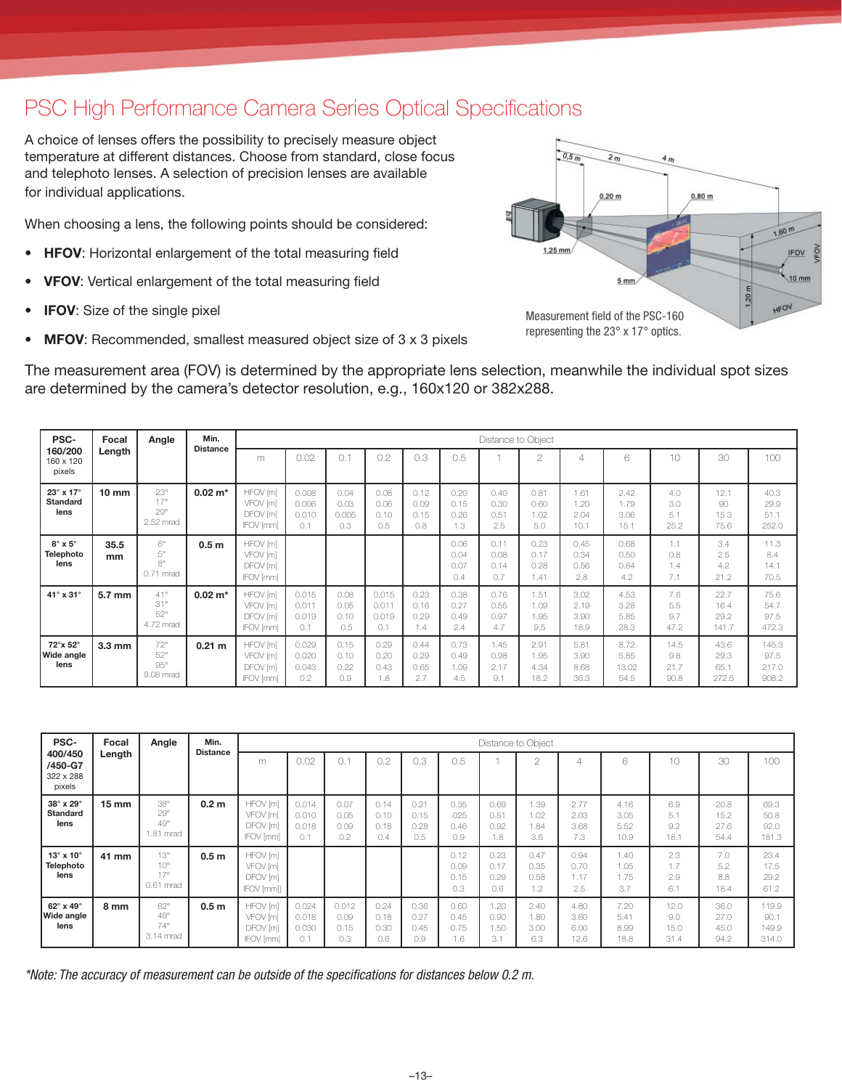### PSC High Performance Camera Series Optical Specifications

A choice of lenses offers the possibility to precisely measure object temperature at different distances. Choose from standard, close focus and telephoto lenses. A selection of precision lenses are available for individual applications.

When choosing a lens, the following points should be considered:

- HFOV: Horizontal enlargement of the total measuring field
- **VFOV:** Vertical enlargement of the total measuring field
- **IFOV:** Size of the single pixel
- **MFOV**: Recommended, smallest measured object size of 3 x 3 pixels



The measurement area (FOV) is determined by the appropriate lens selection, meanwhile the individual spot sizes are determined by the camera's detector resolution, e.g., 160x120 or 382x288.

| PSC-                                                  | Focal            | Angle                                          | Min.               |                                                      |                                |                              |                                |                             |                             | Distance to Object          |                              |                              |                               |                             |                               |                                 |
|-------------------------------------------------------|------------------|------------------------------------------------|--------------------|------------------------------------------------------|--------------------------------|------------------------------|--------------------------------|-----------------------------|-----------------------------|-----------------------------|------------------------------|------------------------------|-------------------------------|-----------------------------|-------------------------------|---------------------------------|
| 160/200<br>160 x 120<br>pixels                        | Length           |                                                | <b>Distance</b>    | m                                                    | 0.02                           | 0.                           | 0.2                            | 0.3                         | 0.5                         |                             | $\cap$                       |                              | 6                             | 10                          | 30                            | 100                             |
| $23^\circ \times 17^\circ$<br><b>Standard</b><br>lens | $10 \text{ mm}$  | $23^\circ$<br>17°<br>$29^\circ$<br>2.52 mrad   | $0.02 m*$          | HFOV [m]<br>VFOV [m]<br>DFOV [m]<br><b>IFOV</b> [mm] | 0.008<br>0.006<br>0.010<br>0.1 | 0.04<br>0.03<br>0.005<br>0.3 | 0.08<br>0.06<br>0.10<br>0.5    | 0.12<br>0.09<br>0.15<br>0.8 | 0.20<br>0.15<br>0.26<br>1.3 | 0.40<br>0.30<br>0.51<br>2.5 | 0.81<br>0.60<br>1.02<br>5.0  | 1.61<br>1.20<br>2.04<br>10.1 | 2.42<br>1.79<br>3.06<br>15.1  | 4.0<br>3.0<br>5.1<br>25.2   | 12.1<br>90<br>15.3<br>75.6    | 40.3<br>29.9<br>51.1<br>252.0   |
| $8^\circ \times 5^\circ$<br>Telephoto<br>lens         | 35.5<br>mm       | $6^{\circ}$<br>5°<br>8°<br>0.71 mrad           | 0.5 <sub>m</sub>   | HFOV [m]<br>VFOV [m]<br>DFOV [m]<br>IFOV [mm]        |                                |                              |                                |                             | 0.06<br>0.04<br>0.07<br>0.4 | 0.11<br>0.08<br>0.14<br>0.7 | 0.23<br>0.17<br>0.28<br>1.41 | 0.45<br>0.34<br>0.56<br>2.8  | 0.68<br>0.50<br>0.84<br>4.2   | 1.1<br>0.8<br>1.4<br>7.1    | 3.4<br>2.5<br>4.2<br>21.2     | 11.3<br>8.4<br>14.1<br>70.5     |
| 41° x 31°                                             | 5.7 mm           | 41°<br>31°<br>$52^\circ$<br>4.72 mrad          | $0.02 \text{ m}^*$ | HFOV [m]<br>VFOV [m]<br>DFOV [m]<br>IFOV [mm]        | 0.015<br>0.011<br>0.019<br>0.1 | 0.08<br>0.05<br>0.10<br>0.5  | 0.015<br>0.011<br>0.019<br>0.1 | 0.23<br>0.16<br>0.29<br>1.4 | 0.38<br>0.27<br>0.49<br>2.4 | 0.76<br>0.55<br>0.97<br>4.7 | 1.51<br>1.09<br>1.95<br>9.5  | 3.02<br>2.19<br>3.90<br>18.9 | 4.53<br>3.28<br>5.85<br>28.3  | 7.6<br>5.5<br>9.7<br>47.2   | 22.7<br>16.4<br>29.2<br>141.7 | 75.6<br>54.7<br>97.5<br>472.3   |
| 72°x 52°<br>Wide angle<br>lens                        | $3.3 \text{ mm}$ | $72^{\circ}$<br>$52^\circ$<br>95°<br>9.08 mrad | 0.21 m             | HFOV [m]<br>VFOV [m]<br>DFOV [m]<br>IFOV [mm]        | 0.029<br>0.020<br>0.043<br>0.2 | 0.15<br>0.10<br>0.22<br>0.9  | 0.29<br>0.20<br>0.43<br>1.8    | 0.44<br>0.29<br>0.65<br>2.7 | 0.73<br>0.49<br>1.09<br>4.5 | .45<br>0.98<br>2.17<br>9.1  | 2.91<br>1.95<br>4.34<br>18.2 | 5.81<br>3.90<br>8.68<br>36.3 | 8.72<br>5.85<br>13.02<br>54.5 | 14.5<br>9.8<br>21.7<br>90.8 | 43.6<br>29.3<br>65.1<br>272.5 | 145.3<br>97.5<br>217.0<br>908.2 |

| <b>PSC-</b>                                     | Focal           | Angle                                        | Min.<br><b>Distance</b> |                                                      | Distance to Object             |                              |                             |                             |                             |                             |                             |                              |                              |                             |                              |                                 |  |  |
|-------------------------------------------------|-----------------|----------------------------------------------|-------------------------|------------------------------------------------------|--------------------------------|------------------------------|-----------------------------|-----------------------------|-----------------------------|-----------------------------|-----------------------------|------------------------------|------------------------------|-----------------------------|------------------------------|---------------------------------|--|--|
| 400/450<br>/450-G7<br>322 x 288<br>pixels       | Length          |                                              |                         | m                                                    | 0.02                           | $\sim$                       | 0.2                         | 0.3                         | 0.5                         |                             | $\overline{2}$              | 4                            | 6                            | 10                          | 30                           | 100                             |  |  |
| 38° x 29°<br><b>Standard</b><br>lens            | $15 \text{ mm}$ | $38^\circ$<br>29°<br>49°<br>1.81 mrad        | 0.2 <sub>m</sub>        | HFOV [m]<br>VFOV [m]<br>DFOV [m]<br><b>IFOV</b> [mm] | 0.014<br>0.010<br>0.018<br>0.1 | 0.07<br>0.05<br>0.09<br>0.2  | 0.14<br>0.10<br>0.18<br>0.4 | 0.21<br>0.15<br>0.28<br>0.5 | 0.35<br>.025<br>0.46<br>0.9 | 0.69<br>0.51<br>0.92<br>1.8 | .39<br>1.02<br>1.84<br>3.6  | 2.77<br>2.03<br>3.68<br>7.3  | 4.16<br>3.05<br>5.52<br>10.9 | 6.9<br>5.1<br>9.2<br>18.1   | 20.8<br>15.2<br>27.6<br>54.4 | 69.3<br>50.8<br>92.0<br>181.3   |  |  |
| $13^\circ \times 10^\circ$<br>Telephoto<br>lens | 41 mm           | 13°<br>$10^{\circ}$<br>17°<br>0.61 mrad      | 0.5 <sub>m</sub>        | HFOV [m]<br>VFOV [m]<br>DFOV [m]<br>IFOV [mm]]       |                                |                              |                             |                             | 0.12<br>0.09<br>0.15<br>0.3 | 0.23<br>0.17<br>0.29<br>0.6 | 0.47<br>0.35<br>0.58<br>1.2 | 0.94<br>0.70<br>1.17<br>2.5  | 1.40<br>1.05<br>1.75<br>3.7  | 2.3<br>1.7<br>2.9<br>6.1    | 7.0<br>5.2<br>8.8<br>18.4    | 23.4<br>17.5<br>29.2<br>61.2    |  |  |
| 62° x 49°<br>Wide angle<br>lens                 | 8 mm            | $62^\circ$<br>49°<br>$74^\circ$<br>3.14 mrad | 0.5 <sub>m</sub>        | HFOV [m]<br>VFOV [m]<br>DFOV [m]<br>IFOV [mm]        | 0.024<br>0.018<br>0.030<br>0.1 | 0.012<br>0.09<br>0.15<br>0.3 | 0.24<br>0.18<br>0.30<br>0.6 | 0.36<br>0.27<br>0.45<br>0.9 | 0.60<br>0.45<br>0.75<br>1.6 | .20<br>0.90<br>1.50<br>3.1  | 2.40<br>1.80<br>3.00<br>6.3 | 4.80<br>3.60<br>6.00<br>12.6 | 7.20<br>5.41<br>8.99<br>18.8 | 12.0<br>9.0<br>15.0<br>31.4 | 36.0<br>27.0<br>45.0<br>94.2 | 119.9<br>90.1<br>149.9<br>314.0 |  |  |

*\*Note: The accuracy of measurement can be outside of the specifi cations for distances below 0.2 m.*